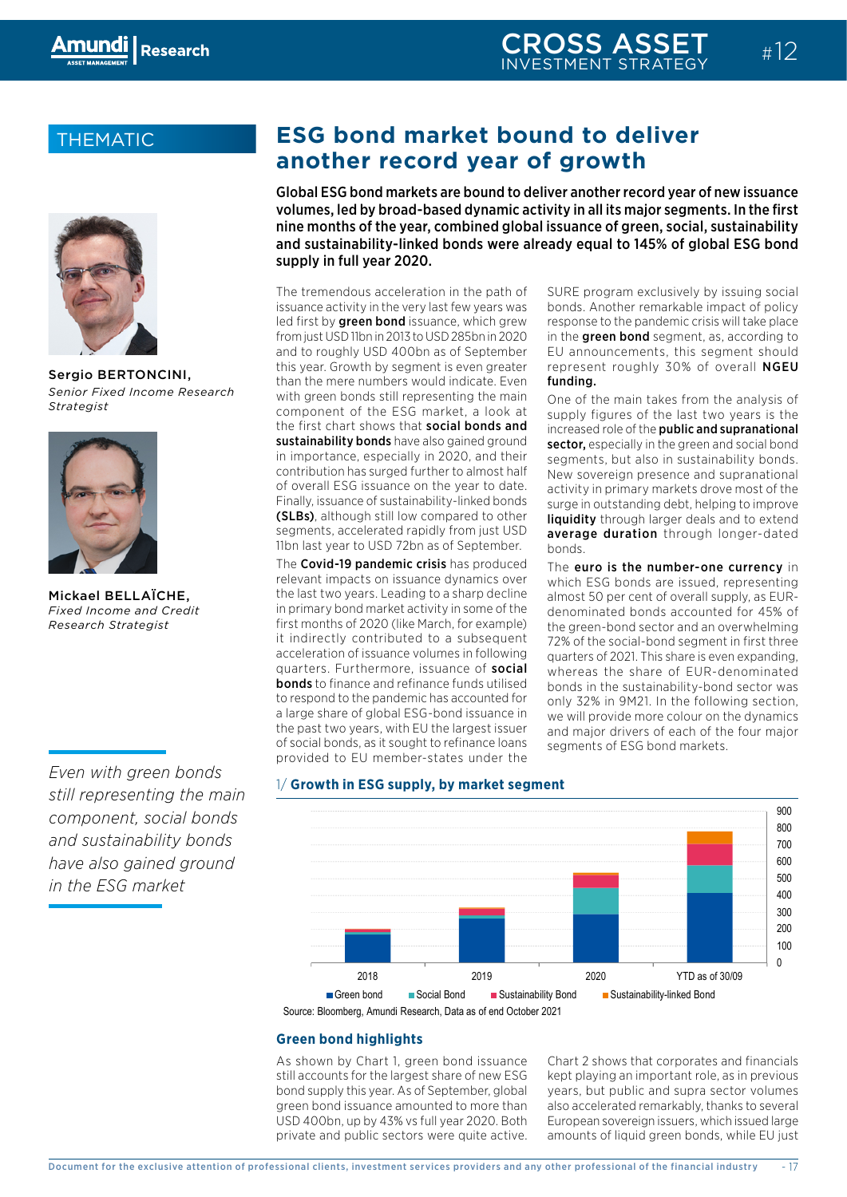### THEMATIC



Sergio BERTONCINI, *Senior Fixed Income Research Strategist*



Mickael BELLAÏCHE, *Fixed Income and Credit Research Strategist*

*Even with green bonds still representing the main component, social bonds and sustainability bonds have also gained ground in the ESG market*

# **ESG bond market bound to deliver another record year of growth**

Global ESG bond markets are bound to deliver another record year of new issuance volumes, led by broad-based dynamic activity in all its major segments. In the first nine months of the year, combined global issuance of green, social, sustainability and sustainability-linked bonds were already equal to 145% of global ESG bond supply in full year 2020.

The tremendous acceleration in the path of issuance activity in the very last few years was led first by **green bond** issuance, which grew from just USD 11bn in 2013 to USD 285bn in 2020 and to roughly USD 400bn as of September this year. Growth by segment is even greater than the mere numbers would indicate. Even with green bonds still representing the main component of the ESG market, a look at the first chart shows that social bonds and sustainability bonds have also gained ground in importance, especially in 2020, and their contribution has surged further to almost half of overall ESG issuance on the year to date. Finally, issuance of sustainability-linked bonds (SLBs), although still low compared to other segments, accelerated rapidly from just USD 11bn last year to USD 72bn as of September.

The Covid-19 pandemic crisis has produced relevant impacts on issuance dynamics over the last two years. Leading to a sharp decline in primary bond market activity in some of the first months of 2020 (like March, for example) it indirectly contributed to a subsequent acceleration of issuance volumes in following quarters. Furthermore, issuance of social **bonds** to finance and refinance funds utilised to respond to the pandemic has accounted for a large share of global ESG-bond issuance in the past two years, with EU the largest issuer of social bonds, as it sought to refinance loans provided to EU member-states under the

SURE program exclusively by issuing social bonds. Another remarkable impact of policy response to the pandemic crisis will take place in the **green bond** segment, as, according to EU announcements, this segment should represent roughly 30% of overall NGEU funding.

One of the main takes from the analysis of supply figures of the last two years is the increased role of the public and supranational sector, especially in the green and social bond segments, but also in sustainability bonds. New sovereign presence and supranational activity in primary markets drove most of the surge in outstanding debt, helping to improve liquidity through larger deals and to extend average duration through longer-dated bonds.

The euro is the number-one currency in which ESG bonds are issued, representing almost 50 per cent of overall supply, as EURdenominated bonds accounted for 45% of the green-bond sector and an overwhelming 72% of the social-bond segment in first three quarters of 2021. This share is even expanding, whereas the share of EUR-denominated bonds in the sustainability-bond sector was only 32% in 9M21. In the following section, we will provide more colour on the dynamics and major drivers of each of the four major efinance loans segments of ESG bond markets.<br>res.under.the



#### 1/ **Growth in ESG supply, by market segment**

Source: Bloomberg, Amundi Research, Data as of end October 2021

#### **Green bond highlights**

still accounts for the largest share of new ESG kept playing an important role, as in previous As shown by Chart 1, green bond issuance bond supply this year. As of September, global green bond issuance amounted to more than USD 400bn, up by 43% vs full year 2020. Both private and public sectors were quite active.

amounts of liquid green bonds, while EU just European sovereign issuers, which issued large years, but public and supra sector volumes Chart 2 shows that corporates and financials kept playing an important role, as in previous also accelerated remarkably, thanks to several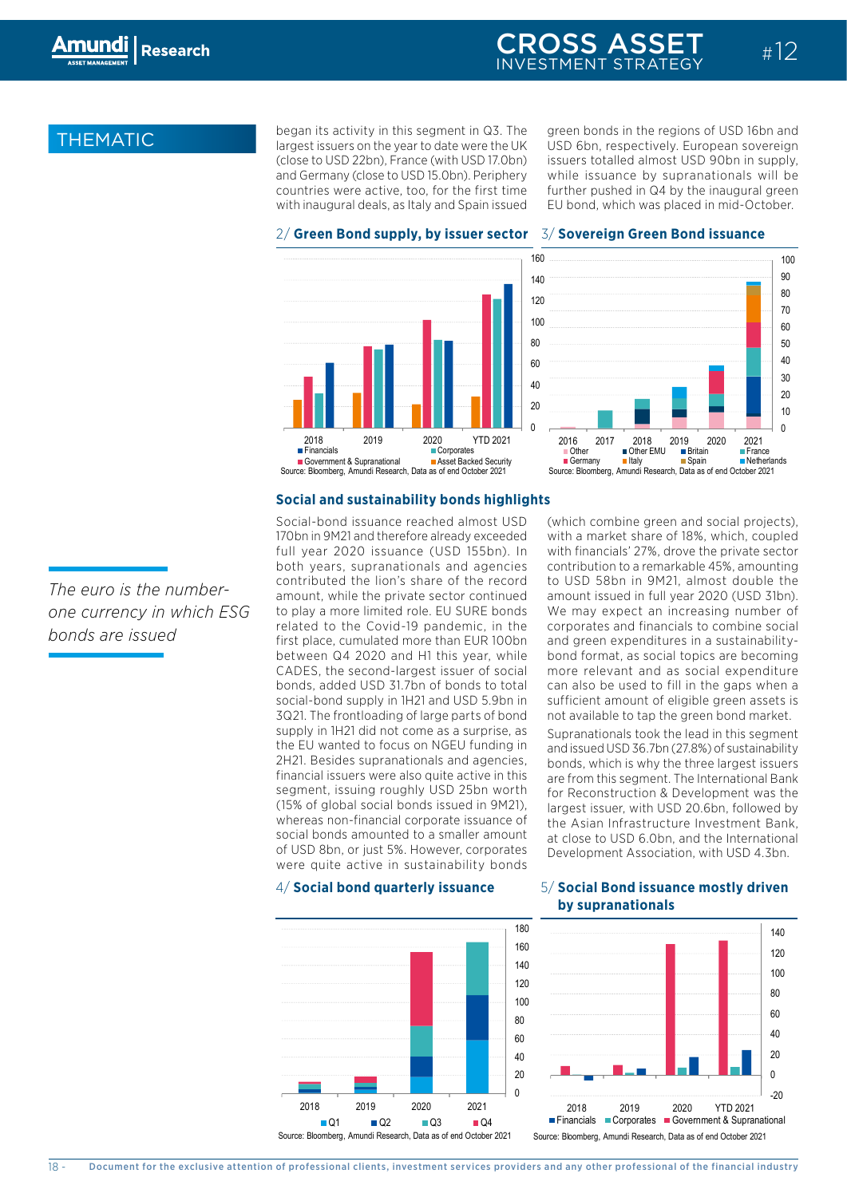### CROSS ASSET INVESTMENT STRATEGY

## **THEMATIC**

began its activity in this segment in Q3. The largest issuers on the year to date were the UK (close to USD 22bn), France (with USD 17.0bn) issuers totalled almost US and Germany (close to USD 15.0bn). Periphery v countries were active, too, for the first time with inaugural deals, as Italy and Spain issued

green bonds in the regions of USD 16bn and 0 n the year to date were the UK USD 6bn, respectively. European sovereign issuers totalled almost USD 90bn in supply, while issuance by supranationals will be further pushed in Q4 by the inaugural green EU bond, which was placed in mid-October.

 $#12$ 

#### 2/ Green Bond supply, by issuer sector  $\,$  3/ Sovereign Green Bond issuance





#### **Social and sustainability bonds highlights**

**Social-bond issuance reached almost USD** (which combine green and social projects) segment, issuing roughly USD 25bn worth for Reconstruction & Development was the 3Q21. The frontloading of large parts of bond supply in 1H21 did not come as a surprise, as the EU wanted to focus on NGEU funding in were quite active in sustainability bonds of USD 8bn, or just 5%. However, corporates whereas non-financial corporate issuance of related to the Covid-19 pandemic, in the corporates and financials to combine s 170bn in 9M21 and therefore already exceeded vith a market share of 18%, both years, supranationals and agencies full year 2020 issuance (USD 155bn). In with financials' 27%, drov financial issuers were also quite active in this 60 2H21. Besides supranationals and agencies, 120 bonds, added USD 31.7bn of bonds to total CADES, the second-largest issuer of social first place, cumulated more than EUR 100bn social bonds amounted to a smaller amount contributed the lion's share of the record amount, while the private sector continued to play a more limited role. EU SURE bonds between Q4 2020 and H1 this year, while social-bond supply in 1H21 and USD 5.9bn in (15% of global social bonds issued in 9M21),



sufficient amount of eligible green assets is can also be used to fill in the gaps when a 20 90 more relevant and as social expenditure and green expenditures in a sustainabilitycorporates and financials to combine social amount issued in full year 2020 (000 Start). to USD 58bn in 9M21, almost double the contribution to a remarkable 45%, amounting with a market share or low, which, coupled<br>with financials' 27%, drove the private sector not available to tap the green bond market. (which combine green and social projects), and green expenditures in a sustainability<br>bond format, as social topics are becoming with a market share of 18%, which, coupled amount issued in full year 2020 (USD 31bn).

טי<br>. the Asian Infrastructure Investment Bank, Supranationals took the lead in this segment and issued USD 36.7bn (27.8%) of sustainability 10 largest issuer, with USD 20.6bn, followed by are from this segment. The International Bank bonds, which is why the three largest issuers at close to USD 6.0bn, and the International Development Association, with USD 4.3bn. for Reconstruction & Development was the

#### 50 4/ **Social bond quarterly issuance** 5/ **Social Bond issuance mostly driven**   $\mathbf{b}$  **y** supranationals



*The euro is the numberone currency in which ESG bonds are issued*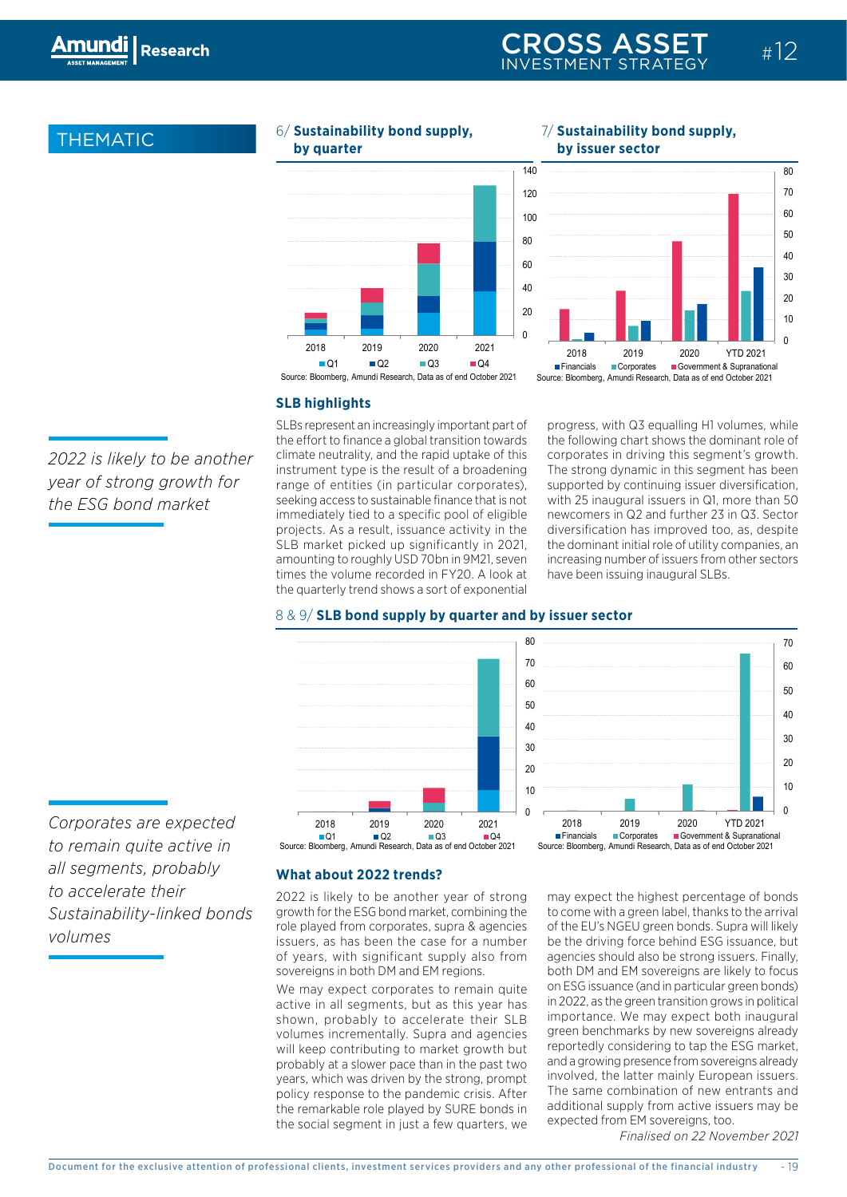40

### **THEMATIC**



6/ **Sustainability bond supply,**

 $\mathcal{L}(\mathcal{L}^{\mathcal{L}})$  and  $\mathcal{L}^{\mathcal{L}}$  and  $\mathcal{L}^{\mathcal{L}}$  and  $\mathcal{L}^{\mathcal{L}}$  and  $\mathcal{L}^{\mathcal{L}}$ 

#### $\sigma$  sustainability bond supply; by  $\sigma$  is sustainability bond supply; 7/ **Sustainability bond supply, by issuer sector**

 $\mathcal{F}_{\mathcal{A}}$  final supranationals  $\mathcal{F}_{\mathcal{A}}$  for  $\mathcal{F}_{\mathcal{A}}$  for  $\mathcal{F}_{\mathcal{A}}$ 



### $SLB$  highlights

*2022 is likely to be another year of strong growth for the ESG bond market*

SLBs represent an increasingly important part of 80 the effort to finance a global transition towards climate neutrality, and the rapid uptake of this instrument type is the result of a broadening range of entities (in particular corporates), seeking access to sustainable finance that is not immediately tied to a specific pool of eligible projects. As a result, issuance activity in the SLB market picked up significantly in 2021, amounting to roughly USD 70bn in 9M21, seven times the volume recorded in FY20. A look at the quarterly trend shows a sort of exponential progress, with Q3 equalling H1 volumes, while the following chart shows the dominant role of corporates in driving this segment's growth. 60 50 The strong dynamic in this segment has been supported by continuing issuer diversification, with 25 inaugural issuers in Q1, more than 50 newcomers in Q2 and further 23 in Q3. Sector diversification has improved too, as, despite the dominant initial role of utility companies, an increasing number of issuers from other sectors meredamig namber or issuers nomiciner see speem issuing maagaraf Sups.







2018 2020 YO 2021 YO 2021 YO 2021 YO 2021 YO 2021 YO 2021 YO 2021 YO 2021 YO 2021 YO 2021 YO 2021 YO 2021 YO

*Corporates are expected to remain quite active in all segments, probably to accelerate their Sustainability-linked bonds volumes*

#### **What about 2022 trends?**

2022 is likely to be another year of strong growth for the ESG bond market, combining the role played from corporates, supra & agencies issuers, as has been the case for a number of years, with significant supply also from sovereigns in both DM and EM regions.

We may expect corporates to remain quite active in all segments, but as this year has shown, probably to accelerate their SLB volumes incrementally. Supra and agencies will keep contributing to market growth but probably at a slower pace than in the past two years, which was driven by the strong, prompt policy response to the pandemic crisis. After the remarkable role played by SURE bonds in the social segment in just a few quarters, we

may expect the highest percentage of bonds to come with a green label, thanks to the arrival of the EU's NGEU green bonds. Supra will likely be the driving force behind ESG issuance, but agencies should also be strong issuers. Finally, both DM and EM sovereigns are likely to focus on ESG issuance (and in particular green bonds) in 2022, as the green transition grows in political importance. We may expect both inaugural green benchmarks by new sovereigns already reportedly considering to tap the ESG market, and a growing presence from sovereigns already involved, the latter mainly European issuers. The same combination of new entrants and additional supply from active issuers may be expected from EM sovereigns, too.

*Finalised on 22 November 2021*

20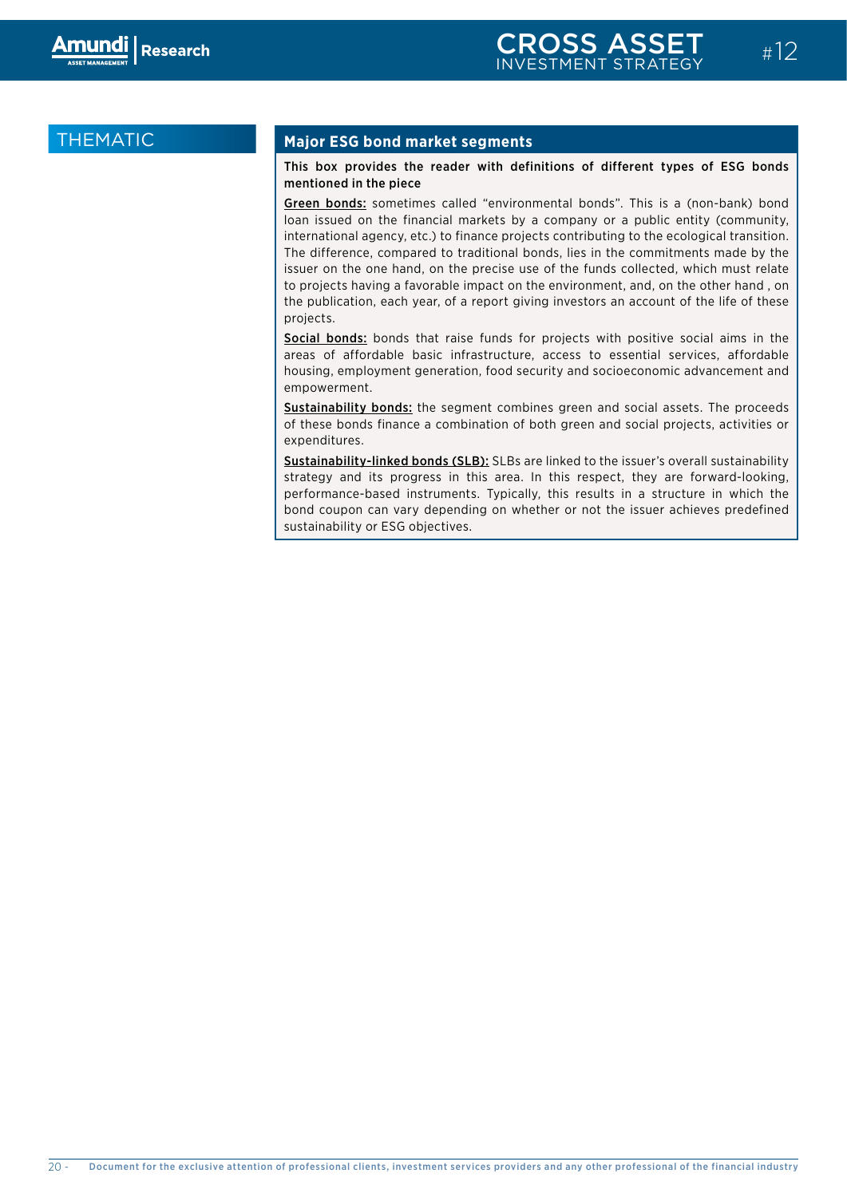### THEMATIC

#### **Major ESG bond market segments**

#### This box provides the reader with definitions of different types of ESG bonds mentioned in the piece

Green bonds: sometimes called "environmental bonds". This is a (non-bank) bond loan issued on the financial markets by a company or a public entity (community, international agency, etc.) to finance projects contributing to the ecological transition. The difference, compared to traditional bonds, lies in the commitments made by the issuer on the one hand, on the precise use of the funds collected, which must relate to projects having a favorable impact on the environment, and, on the other hand , on the publication, each year, of a report giving investors an account of the life of these projects.

Social bonds: bonds that raise funds for projects with positive social aims in the areas of affordable basic infrastructure, access to essential services, affordable housing, employment generation, food security and socioeconomic advancement and empowerment.

Sustainability bonds: the segment combines green and social assets. The proceeds of these bonds finance a combination of both green and social projects, activities or expenditures.

Sustainability-linked bonds (SLB): SLBs are linked to the issuer's overall sustainability strategy and its progress in this area. In this respect, they are forward-looking, performance-based instruments. Typically, this results in a structure in which the bond coupon can vary depending on whether or not the issuer achieves predefined sustainability or ESG objectives.